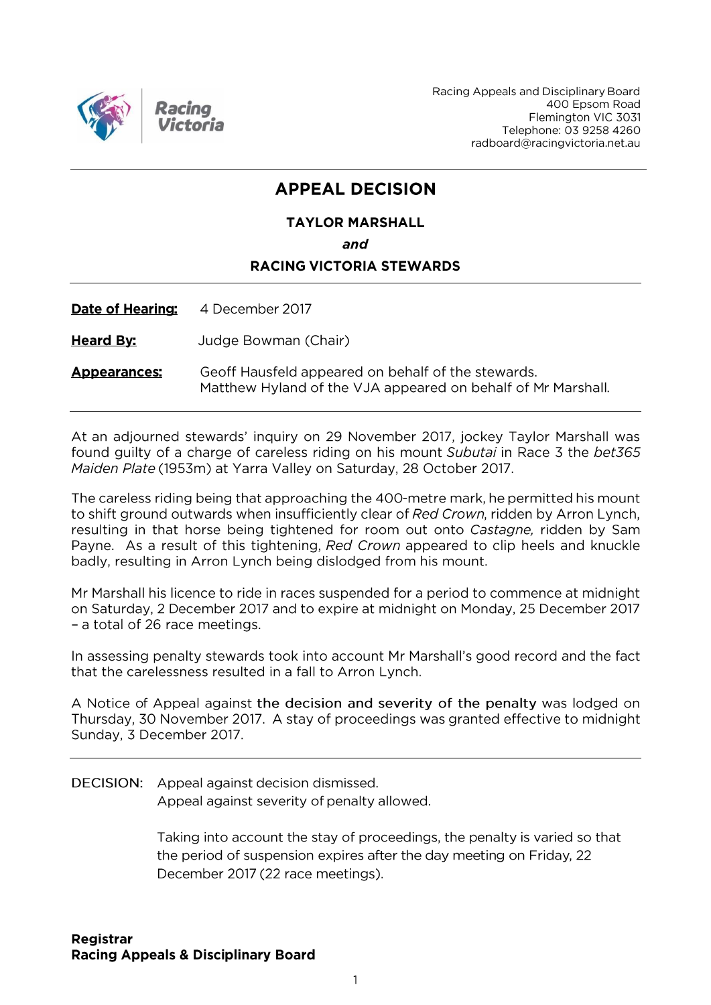

Racing Appeals and Disciplinary Board 400 Epsom Road Flemington VIC 3031 Telephone: 03 9258 4260 radboard@racingvictoria.net.au

## **APPEAL DECISION**

### **TAYLOR MARSHALL** and **RACING VICTORIA STEWARDS**

Date of Hearing: 4 December 2017

**Heard By:** Judge Bowman (Chair)

Geoff Hausfeld appeared on behalf of the stewards. **Appearances:** Matthew Hyland of the VJA appeared on behalf of Mr Marshall.

At an adjourned stewards' inquiry on 29 November 2017, jockey Taylor Marshall was found quilty of a charge of careless riding on his mount Subutai in Race 3 the bet365 Maiden Plate (1953m) at Yarra Valley on Saturday, 28 October 2017.

The careless riding being that approaching the 400-metre mark, he permitted his mount to shift ground outwards when insufficiently clear of Red Crown, ridden by Arron Lynch, resulting in that horse being tightened for room out onto Castagne, ridden by Sam Payne. As a result of this tightening, Red Crown appeared to clip heels and knuckle badly, resulting in Arron Lynch being dislodged from his mount.

Mr Marshall his licence to ride in races suspended for a period to commence at midnight on Saturday, 2 December 2017 and to expire at midnight on Monday, 25 December 2017 - a total of 26 race meetings.

In assessing penalty stewards took into account Mr Marshall's good record and the fact that the carelessness resulted in a fall to Arron Lynch.

A Notice of Appeal against the decision and severity of the penalty was lodged on Thursday, 30 November 2017. A stay of proceedings was granted effective to midnight Sunday, 3 December 2017.

DECISION: Appeal against decision dismissed. Appeal against severity of penalty allowed.

> Taking into account the stay of proceedings, the penalty is varied so that the period of suspension expires after the day meeting on Friday, 22 December 2017 (22 race meetings).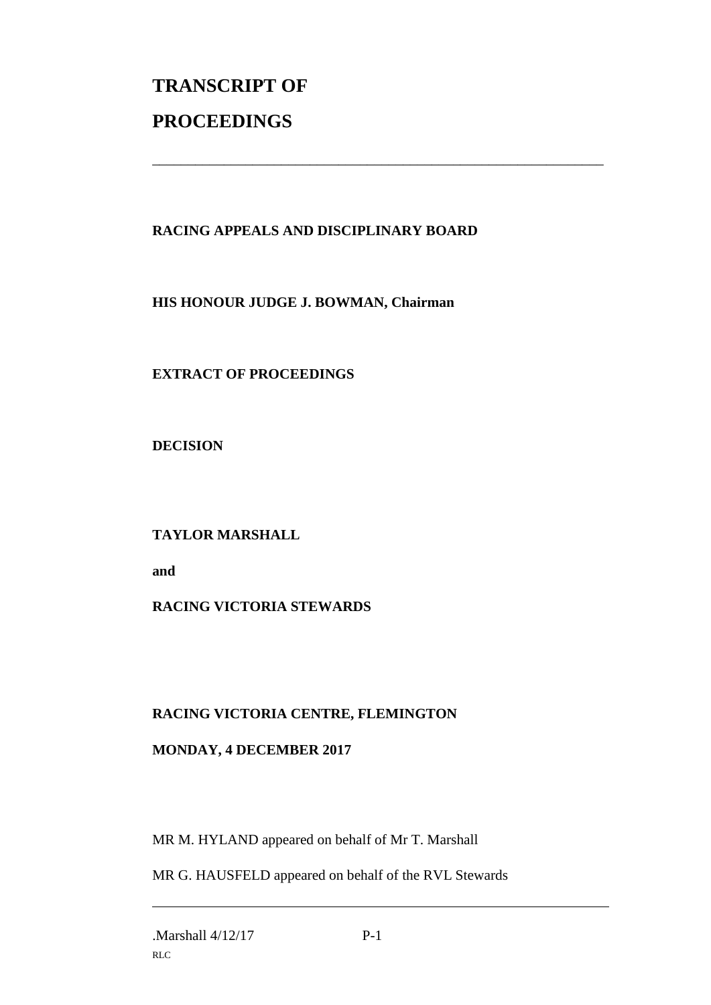# **TRANSCRIPT OF PROCEEDINGS**

#### **RACING APPEALS AND DISCIPLINARY BOARD**

\_\_\_\_\_\_\_\_\_\_\_\_\_\_\_\_\_\_\_\_\_\_\_\_\_\_\_\_\_\_\_\_\_\_\_\_\_\_\_\_\_\_\_\_\_\_\_\_\_\_\_\_\_\_\_\_\_\_\_\_\_\_\_

**HIS HONOUR JUDGE J. BOWMAN, Chairman**

**EXTRACT OF PROCEEDINGS**

**DECISION**

**TAYLOR MARSHALL**

**and**

**RACING VICTORIA STEWARDS**

#### **RACING VICTORIA CENTRE, FLEMINGTON**

#### **MONDAY, 4 DECEMBER 2017**

MR M. HYLAND appeared on behalf of Mr T. Marshall

MR G. HAUSFELD appeared on behalf of the RVL Stewards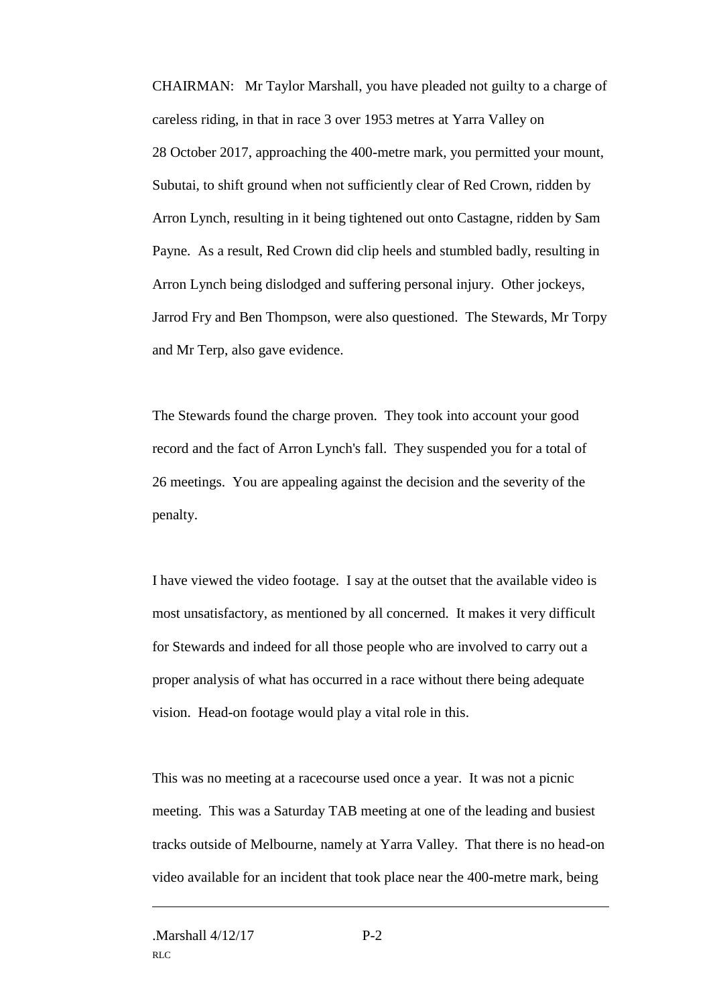CHAIRMAN: Mr Taylor Marshall, you have pleaded not guilty to a charge of careless riding, in that in race 3 over 1953 metres at Yarra Valley on 28 October 2017, approaching the 400-metre mark, you permitted your mount, Subutai, to shift ground when not sufficiently clear of Red Crown, ridden by Arron Lynch, resulting in it being tightened out onto Castagne, ridden by Sam Payne. As a result, Red Crown did clip heels and stumbled badly, resulting in Arron Lynch being dislodged and suffering personal injury. Other jockeys, Jarrod Fry and Ben Thompson, were also questioned. The Stewards, Mr Torpy and Mr Terp, also gave evidence.

The Stewards found the charge proven. They took into account your good record and the fact of Arron Lynch's fall. They suspended you for a total of 26 meetings. You are appealing against the decision and the severity of the penalty.

I have viewed the video footage. I say at the outset that the available video is most unsatisfactory, as mentioned by all concerned. It makes it very difficult for Stewards and indeed for all those people who are involved to carry out a proper analysis of what has occurred in a race without there being adequate vision. Head-on footage would play a vital role in this.

This was no meeting at a racecourse used once a year. It was not a picnic meeting. This was a Saturday TAB meeting at one of the leading and busiest tracks outside of Melbourne, namely at Yarra Valley. That there is no head-on video available for an incident that took place near the 400-metre mark, being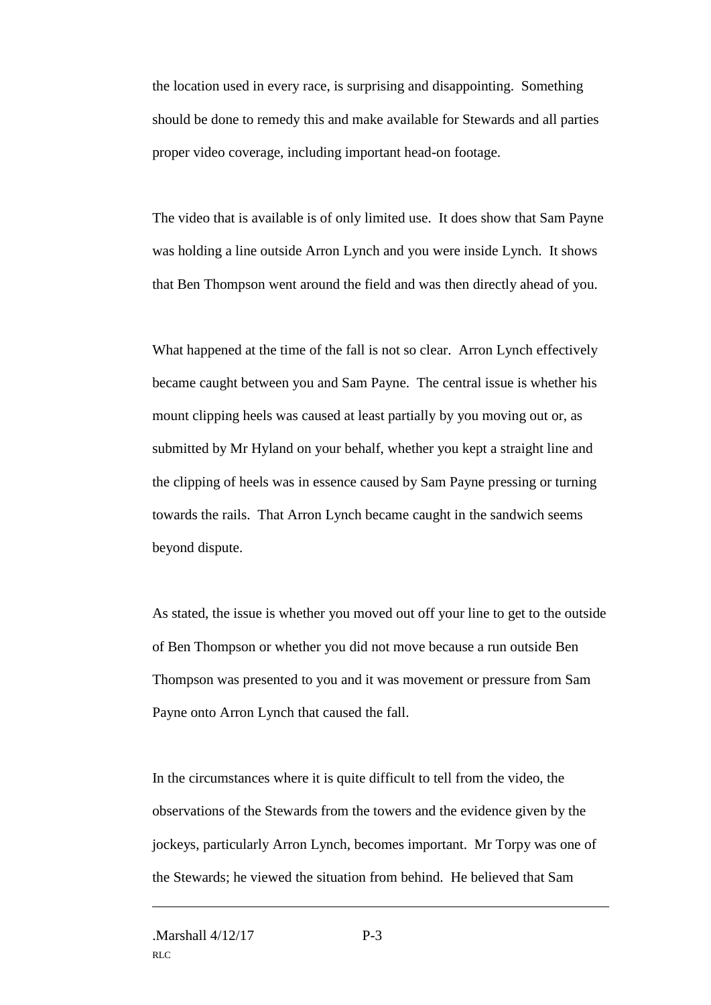the location used in every race, is surprising and disappointing. Something should be done to remedy this and make available for Stewards and all parties proper video coverage, including important head-on footage.

The video that is available is of only limited use. It does show that Sam Payne was holding a line outside Arron Lynch and you were inside Lynch. It shows that Ben Thompson went around the field and was then directly ahead of you.

What happened at the time of the fall is not so clear. Arron Lynch effectively became caught between you and Sam Payne. The central issue is whether his mount clipping heels was caused at least partially by you moving out or, as submitted by Mr Hyland on your behalf, whether you kept a straight line and the clipping of heels was in essence caused by Sam Payne pressing or turning towards the rails. That Arron Lynch became caught in the sandwich seems beyond dispute.

As stated, the issue is whether you moved out off your line to get to the outside of Ben Thompson or whether you did not move because a run outside Ben Thompson was presented to you and it was movement or pressure from Sam Payne onto Arron Lynch that caused the fall.

In the circumstances where it is quite difficult to tell from the video, the observations of the Stewards from the towers and the evidence given by the jockeys, particularly Arron Lynch, becomes important. Mr Torpy was one of the Stewards; he viewed the situation from behind. He believed that Sam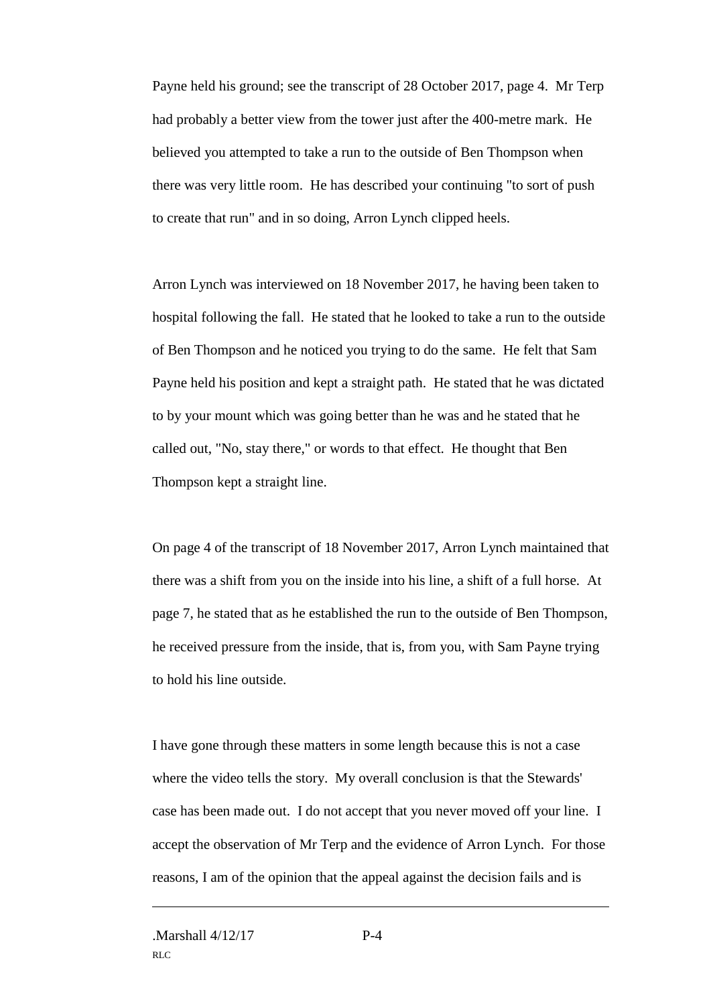Payne held his ground; see the transcript of 28 October 2017, page 4. Mr Terp had probably a better view from the tower just after the 400-metre mark. He believed you attempted to take a run to the outside of Ben Thompson when there was very little room. He has described your continuing "to sort of push to create that run" and in so doing, Arron Lynch clipped heels.

Arron Lynch was interviewed on 18 November 2017, he having been taken to hospital following the fall. He stated that he looked to take a run to the outside of Ben Thompson and he noticed you trying to do the same. He felt that Sam Payne held his position and kept a straight path. He stated that he was dictated to by your mount which was going better than he was and he stated that he called out, "No, stay there," or words to that effect. He thought that Ben Thompson kept a straight line.

On page 4 of the transcript of 18 November 2017, Arron Lynch maintained that there was a shift from you on the inside into his line, a shift of a full horse. At page 7, he stated that as he established the run to the outside of Ben Thompson, he received pressure from the inside, that is, from you, with Sam Payne trying to hold his line outside.

I have gone through these matters in some length because this is not a case where the video tells the story. My overall conclusion is that the Stewards' case has been made out. I do not accept that you never moved off your line. I accept the observation of Mr Terp and the evidence of Arron Lynch. For those reasons, I am of the opinion that the appeal against the decision fails and is